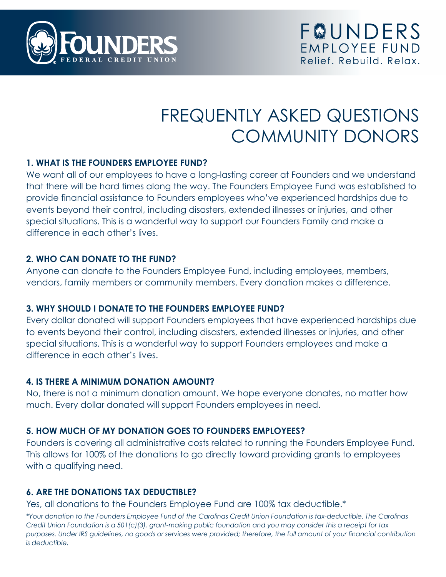

# FREQUENTLY ASKED QUESTIONS COMMUNITY DONORS

#### **1. WHAT IS THE FOUNDERS EMPLOYEE FUND?**

We want all of our employees to have a long-lasting career at Founders and we understand that there will be hard times along the way. The Founders Employee Fund was established to provide financial assistance to Founders employees who've experienced hardships due to events beyond their control, including disasters, extended illnesses or injuries, and other special situations. This is a wonderful way to support our Founders Family and make a difference in each other's lives.

#### **2. WHO CAN DONATE TO THE FUND?**

Anyone can donate to the Founders Employee Fund, including employees, members, vendors, family members or community members. Every donation makes a difference.

## **3. WHY SHOULD I DONATE TO THE FOUNDERS EMPLOYEE FUND?**

Every dollar donated will support Founders employees that have experienced hardships due to events beyond their control, including disasters, extended illnesses or injuries, and other special situations. This is a wonderful way to support Founders employees and make a difference in each other's lives.

## **4. IS THERE A MINIMUM DONATION AMOUNT?**

No, there is not a minimum donation amount. We hope everyone donates, no matter how much. Every dollar donated will support Founders employees in need.

## **5. HOW MUCH OF MY DONATION GOES TO FOUNDERS EMPLOYEES?**

Founders is covering all administrative costs related to running the Founders Employee Fund. This allows for 100% of the donations to go directly toward providing grants to employees with a qualifying need.

## **6. ARE THE DONATIONS TAX DEDUCTIBLE?**

Yes, all donations to the Founders Employee Fund are 100% tax deductible.\*

*\*Your donation to the Founders Employee Fund of the Carolinas Credit Union Foundation is tax-deductible. The Carolinas Credit Union Foundation is a 501(c)(3), grant-making public foundation and you may consider this a receipt for tax purposes. Under IRS guidelines, no goods or services were provided; therefore, the full amount of your financial contribution is deductible.*